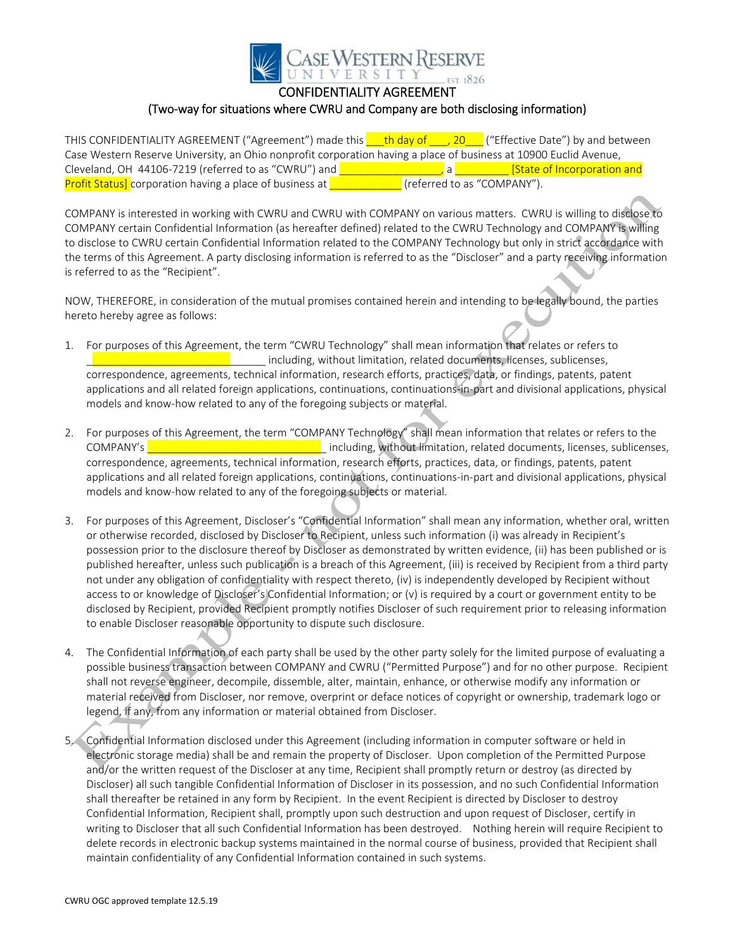

CONFIDENTIALITY AGREEMENT

## (Two‐way for situations where CWRU and Company are both disclosing information)

THIS CONFIDENTIALITY AGREEMENT ("Agreement") made this **thing that day of \_\_\_, 20\_\_\_** ("Effective Date") by and between Case Western Reserve University, an Ohio nonprofit corporation having a place of business at 10900 Euclid Avenue, Cleveland, OH 44106‐7219 (referred to as "CWRU") and \_\_\_\_\_\_\_\_\_\_\_\_\_\_\_\_\_, a \_\_\_\_\_\_\_\_\_ [State of Incorporation and Profit Status] corporation having a place of business at **we are contrary** (referred to as "COMPANY").

COMPANY is interested in working with CWRU and CWRU with COMPANY on various matters. CWRU is willing to disclose to COMPANY certain Confidential Information (as hereafter defined) related to the CWRU Technology and COMPANY is willing to disclose to CWRU certain Confidential Information related to the COMPANY Technology but only in strict accordance with the terms of this Agreement. A party disclosing information is referred to as the "Discloser" and a party receiving information is referred to as the "Recipient".

NOW, THEREFORE, in consideration of the mutual promises contained herein and intending to be legally bound, the parties hereto hereby agree as follows:

- 1. For purposes of this Agreement, the term "CWRU Technology" shall mean information that relates or refers to including, without limitation, related documents, licenses, sublicenses, correspondence, agreements, technical information, research efforts, practices, data, or findings, patents, patent applications and all related foreign applications, continuations, continuations‐in‐part and divisional applications, physical models and know‐how related to any of the foregoing subjects or material.
- 2. For purposes of this Agreement, the term "COMPANY Technology" shall mean information that relates or refers to the COMPANY's **Exercise Alternative Company's** including, without limitation, related documents, licenses, sublicenses, correspondence, agreements, technical information, research efforts, practices, data, or findings, patents, patent applications and all related foreign applications, continuations, continuations‐in‐part and divisional applications, physical models and know‐how related to any of the foregoing subjects or material.
- 3. For purposes of this Agreement, Discloser's "Confidential Information" shall mean any information, whether oral, written or otherwise recorded, disclosed by Discloser to Recipient, unless such information (i) was already in Recipient's possession prior to the disclosure thereof by Discloser as demonstrated by written evidence, (ii) has been published or is published hereafter, unless such publication is a breach of this Agreement, (iii) is received by Recipient from a third party not under any obligation of confidentiality with respect thereto, (iv) is independently developed by Recipient without access to or knowledge of Discloser's Confidential Information; or (v) is required by a court or government entity to be disclosed by Recipient, provided Recipient promptly notifies Discloser of such requirement prior to releasing information to enable Discloser reasonable opportunity to dispute such disclosure.
- 4. The Confidential Information of each party shall be used by the other party solely for the limited purpose of evaluating a possible business transaction between COMPANY and CWRU ("Permitted Purpose") and for no other purpose. Recipient shall not reverse engineer, decompile, dissemble, alter, maintain, enhance, or otherwise modify any information or material received from Discloser, nor remove, overprint or deface notices of copyright or ownership, trademark logo or legend, if any, from any information or material obtained from Discloser.
- 5. Confidential Information disclosed under this Agreement (including information in computer software or held in electronic storage media) shall be and remain the property of Discloser. Upon completion of the Permitted Purpose and/or the written request of the Discloser at any time, Recipient shall promptly return or destroy (as directed by Discloser) all such tangible Confidential Information of Discloser in its possession, and no such Confidential Information shall thereafter be retained in any form by Recipient. In the event Recipient is directed by Discloser to destroy Confidential Information, Recipient shall, promptly upon such destruction and upon request of Discloser, certify in writing to Discloser that all such Confidential Information has been destroyed. Nothing herein will require Recipient to delete records in electronic backup systems maintained in the normal course of business, provided that Recipient shall maintain confidentiality of any Confidential Information contained in such systems.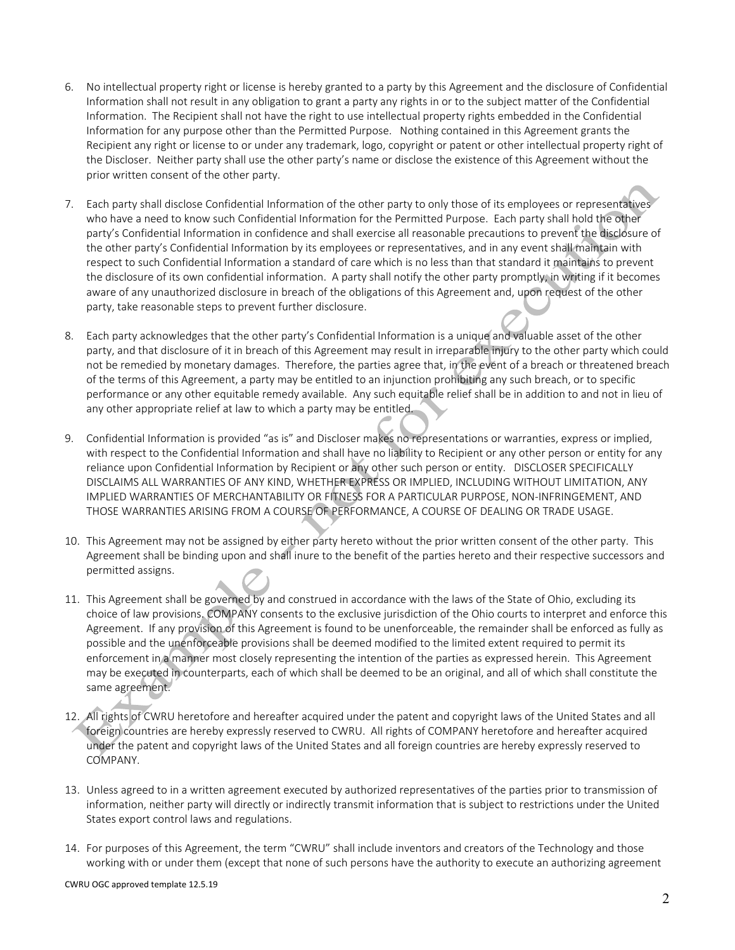- 6. No intellectual property right or license is hereby granted to a party by this Agreement and the disclosure of Confidential Information shall not result in any obligation to grant a party any rights in or to the subject matter of the Confidential Information. The Recipient shall not have the right to use intellectual property rights embedded in the Confidential Information for any purpose other than the Permitted Purpose. Nothing contained in this Agreement grants the Recipient any right or license to or under any trademark, logo, copyright or patent or other intellectual property right of the Discloser. Neither party shall use the other party's name or disclose the existence of this Agreement without the prior written consent of the other party.
- 7. Each party shall disclose Confidential Information of the other party to only those of its employees or representatives who have a need to know such Confidential Information for the Permitted Purpose. Each party shall hold the other party's Confidential Information in confidence and shall exercise all reasonable precautions to prevent the disclosure of the other party's Confidential Information by its employees or representatives, and in any event shall maintain with respect to such Confidential Information a standard of care which is no less than that standard it maintains to prevent the disclosure of its own confidential information. A party shall notify the other party promptly, in writing if it becomes aware of any unauthorized disclosure in breach of the obligations of this Agreement and, upon request of the other party, take reasonable steps to prevent further disclosure.
- 8. Each party acknowledges that the other party's Confidential Information is a unique and valuable asset of the other party, and that disclosure of it in breach of this Agreement may result in irreparable injury to the other party which could not be remedied by monetary damages. Therefore, the parties agree that, in the event of a breach or threatened breach of the terms of this Agreement, a party may be entitled to an injunction prohibiting any such breach, or to specific performance or any other equitable remedy available. Any such equitable relief shall be in addition to and not in lieu of any other appropriate relief at law to which a party may be entitled.
- 9. Confidential Information is provided "as is" and Discloser makes no representations or warranties, express or implied, with respect to the Confidential Information and shall have no liability to Recipient or any other person or entity for any reliance upon Confidential Information by Recipient or any other such person or entity. DISCLOSER SPECIFICALLY DISCLAIMS ALL WARRANTIES OF ANY KIND, WHETHER EXPRESS OR IMPLIED, INCLUDING WITHOUT LIMITATION, ANY IMPLIED WARRANTIES OF MERCHANTABILITY OR FITNESS FOR A PARTICULAR PURPOSE, NON‐INFRINGEMENT, AND THOSE WARRANTIES ARISING FROM A COURSE OF PERFORMANCE, A COURSE OF DEALING OR TRADE USAGE.
- 10. This Agreement may not be assigned by either party hereto without the prior written consent of the other party. This Agreement shall be binding upon and shall inure to the benefit of the parties hereto and their respective successors and permitted assigns.
- 11. This Agreement shall be governed by and construed in accordance with the laws of the State of Ohio, excluding its choice of law provisions. COMPANY consents to the exclusive jurisdiction of the Ohio courts to interpret and enforce this Agreement. If any provision of this Agreement is found to be unenforceable, the remainder shall be enforced as fully as possible and the unenforceable provisions shall be deemed modified to the limited extent required to permit its enforcement in a manner most closely representing the intention of the parties as expressed herein. This Agreement may be executed in counterparts, each of which shall be deemed to be an original, and all of which shall constitute the same agreement.
- 12. All rights of CWRU heretofore and hereafter acquired under the patent and copyright laws of the United States and all foreign countries are hereby expressly reserved to CWRU. All rights of COMPANY heretofore and hereafter acquired under the patent and copyright laws of the United States and all foreign countries are hereby expressly reserved to COMPANY.
- 13. Unless agreed to in a written agreement executed by authorized representatives of the parties prior to transmission of information, neither party will directly or indirectly transmit information that is subject to restrictions under the United States export control laws and regulations.
- 14. For purposes of this Agreement, the term "CWRU" shall include inventors and creators of the Technology and those working with or under them (except that none of such persons have the authority to execute an authorizing agreement

CWRU OGC approved template 12.5.19